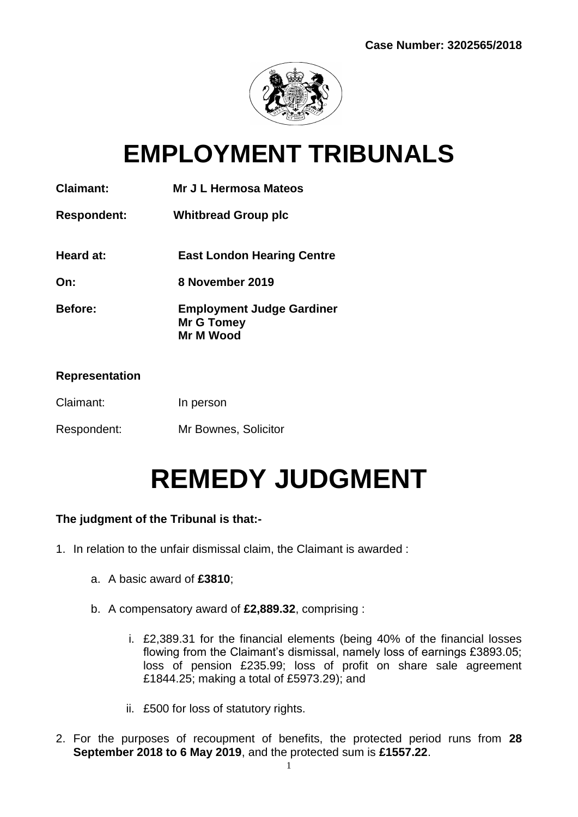

## **EMPLOYMENT TRIBUNALS**

| <b>Claimant:</b><br>Mr J L Hermosa Mateos |
|-------------------------------------------|
|-------------------------------------------|

## **Respondent: Whitbread Group plc**

- **Heard at: East London Hearing Centre**
- **On: 8 November 2019**
- **Before: Employment Judge Gardiner Mr G Tomey Mr M Wood**

#### **Representation**

- Claimant: In person
- Respondent: Mr Bownes, Solicitor

# **REMEDY JUDGMENT**

### **The judgment of the Tribunal is that:-**

- 1. In relation to the unfair dismissal claim, the Claimant is awarded :
	- a. A basic award of **£3810**;
	- b. A compensatory award of **£2,889.32**, comprising :
		- i. £2,389.31 for the financial elements (being 40% of the financial losses flowing from the Claimant's dismissal, namely loss of earnings £3893.05; loss of pension £235.99; loss of profit on share sale agreement £1844.25; making a total of £5973.29); and
		- ii. £500 for loss of statutory rights.
- 2. For the purposes of recoupment of benefits, the protected period runs from **28 September 2018 to 6 May 2019**, and the protected sum is **£1557.22**.